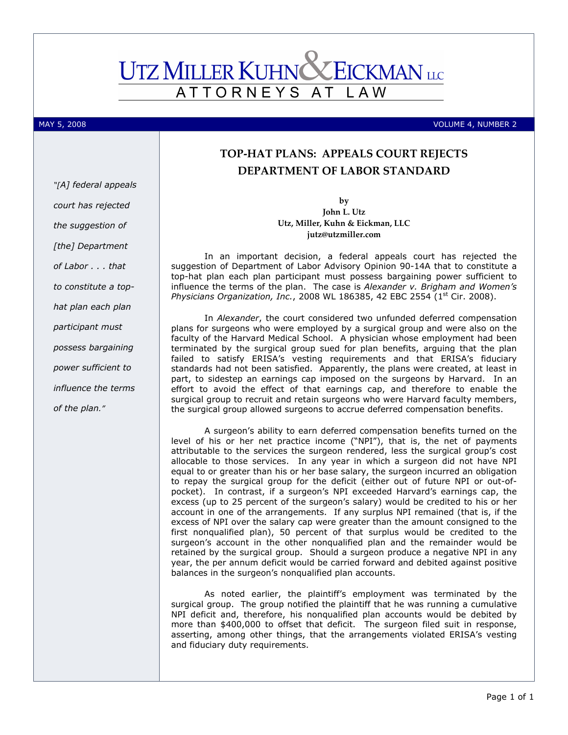## **UTZ MILLER KUHNC ZEICKMAN** LLC ATTORNEYS AT L A W

MAY 5, 2008 VOLUME 4, NUMBER 2

## TOP-HAT PLANS: APPEALS COURT REJECTS DEPARTMENT OF LABOR STANDARD

by John L. Utz Utz, Miller, Kuhn & Eickman, LLC jutz@utzmiller.com

In an important decision, a federal appeals court has rejected the suggestion of Department of Labor Advisory Opinion 90-14A that to constitute a top-hat plan each plan participant must possess bargaining power sufficient to influence the terms of the plan. The case is Alexander  $v$ . Brigham and Women's Physicians Organization, Inc., 2008 WL 186385, 42 EBC 2554 ( $1<sup>st</sup> Cir.$  2008).

In Alexander, the court considered two unfunded deferred compensation plans for surgeons who were employed by a surgical group and were also on the faculty of the Harvard Medical School. A physician whose employment had been terminated by the surgical group sued for plan benefits, arguing that the plan failed to satisfy ERISA's vesting requirements and that ERISA's fiduciary standards had not been satisfied. Apparently, the plans were created, at least in part, to sidestep an earnings cap imposed on the surgeons by Harvard. In an effort to avoid the effect of that earnings cap, and therefore to enable the surgical group to recruit and retain surgeons who were Harvard faculty members, the surgical group allowed surgeons to accrue deferred compensation benefits.

A surgeon's ability to earn deferred compensation benefits turned on the level of his or her net practice income ("NPI"), that is, the net of payments attributable to the services the surgeon rendered, less the surgical group's cost allocable to those services. In any year in which a surgeon did not have NPI equal to or greater than his or her base salary, the surgeon incurred an obligation to repay the surgical group for the deficit (either out of future NPI or out-ofpocket). In contrast, if a surgeon's NPI exceeded Harvard's earnings cap, the excess (up to 25 percent of the surgeon's salary) would be credited to his or her account in one of the arrangements. If any surplus NPI remained (that is, if the excess of NPI over the salary cap were greater than the amount consigned to the first nonqualified plan), 50 percent of that surplus would be credited to the surgeon's account in the other nonqualified plan and the remainder would be retained by the surgical group. Should a surgeon produce a negative NPI in any year, the per annum deficit would be carried forward and debited against positive balances in the surgeon's nonqualified plan accounts.

As noted earlier, the plaintiff's employment was terminated by the surgical group. The group notified the plaintiff that he was running a cumulative NPI deficit and, therefore, his nonqualified plan accounts would be debited by more than \$400,000 to offset that deficit. The surgeon filed suit in response, asserting, among other things, that the arrangements violated ERISA's vesting and fiduciary duty requirements.

"[A] federal appeals court has rejected the suggestion of [the] Department of Labor . . . that to constitute a tophat plan each plan participant must possess bargaining power sufficient to influence the terms of the plan."